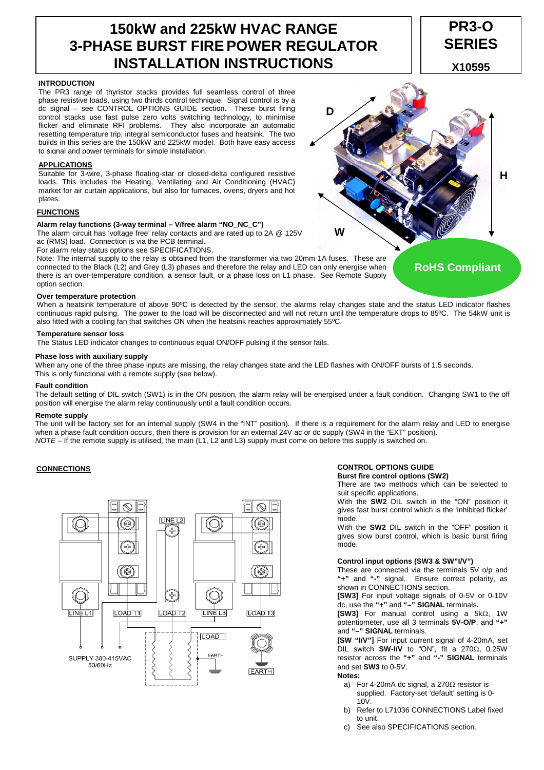# **150kW and 225kW HVAC RANGE 3-PHASE BURST FIRE POWER REGULATOR INSTALLATION INSTRUCTIONS**

# **PR3-O SERIES**

**X10595**

# **INTRODUCTION**

The PR3 range of thyristor stacks provides full seamless control of three phase resistive loads, using two thirds control technique. Signal control is by a dc signal – see CONTROL OPTIONS GUIDE section. These burst firing control stacks use fast pulse zero volts switching technology, to minimise flicker and eliminate RFI problems. They also incorporate an automatic resetting temperature trip, integral semiconductor fuses and heatsink. The two builds in this series are the 150kW and 225kW model. Both have easy access to signal and power terminals for simple installation.

# **APPLICATIONS**

Suitable for 3-wire, 3-phase floating-star or closed-delta configured resistive loads. This includes the Heating, Ventilating and Air Conditioning (HVAC) market for air curtain applications, but also for furnaces, ovens, dryers and hot plates.

# **FUNCTIONS**

# **Alarm relay functions (3-way terminal – V/free alarm "NO\_NC\_C")**

The alarm circuit has 'voltage free' relay contacts and are rated up to 2A @ 125V ac (RMS) load. Connection is via the PCB terminal.

For alarm relay status options see SPECIFICATIONS.

Note: The internal supply to the relay is obtained from the transformer via two 20mm 1A fuses. These are connected to the Black (L2) and Grey (L3) phases and therefore the relay and LED can only energise when there is an over-temperature condition, a sensor fault, or a phase loss on L1 phase. See Remote Supply option section.

# **Over temperature protection**

When a heatsink temperature of above 90°C is detected by the sensor, the alarms relay changes state and the status LED indicator flashes continuous rapid pulsing. The power to the load will be disconnected and will not return until the temperature drops to 85ºC. The 54kW unit is also fitted with a cooling fan that switches ON when the heatsink reaches approximately 55ºC.

# **Temperature sensor loss**

The Status LED indicator changes to continuous equal ON/OFF pulsing if the sensor fails.

# **Phase loss with auxiliary supply**

When any one of the three phase inputs are missing, the relay changes state and the LED flashes with ON/OFF bursts of 1.5 seconds. This is only functional with a remote supply (see below).

# **Fault condition**

The default setting of DIL switch (SW1) is in the ON position, the alarm relay will be energised under a fault condition. Changing SW1 to the off position will energise the alarm relay continuously until a fault condition occurs.

## **Remote supply**

The unit will be factory set for an internal supply (SW4 in the "INT" position). If there is a requirement for the alarm relay and LED to energise when a phase fault condition occurs, then there is provision for an external 24V ac or dc supply (SW4 in the "EXT" position). NOTE – If the remote supply is utilised, the main (L1, L2 and L3) supply must come on before this supply is switched on.

# **CONNECTIONS**



# **CONTROL OPTIONS GUIDE**

**Burst fire control options (SW2)** 

There are two methods which can be selected to suit specific applications.

With the **SW2** DIL switch in the "ON" position it gives fast burst control which is the 'inhibited flicker' mode.

With the **SW2** DIL switch in the "OFF" position it gives slow burst control, which is basic burst firing mode.

## **Control input options (SW3 & SW"I/V")**

These are connected via the terminals 5V o/p and **"+"** and **"-"** signal. Ensure correct polarity, as shown in CONNECTIONS section.

**[SW3]** For input voltage signals of 0-5V or 0-10V dc, use the **"+"** and **"–" SIGNAL** terminals**.** 

**[SW3]** For manual control using a 5kΩ, 1W potentiometer, use all 3 terminals **5V-O/P**, and **"+"** and **"–" SIGNAL** terminals.

**[SW "I/V"]** For input current signal of 4-20mA, set DIL switch **SW-I/V** to "ON", fit a 270Ω, 0.25W resistor across the **"+"** and **"-" SIGNAL** terminals and set **SW3** to 0-5V.

# **Notes:**

- a) For 4-20mA dc signal, a 270Ω resistor is supplied. Factory-set 'default' setting is 0-  $10V$
- b) Refer to L71036 CONNECTIONS Label fixed to unit.
- c) See also SPECIFICATIONS section.